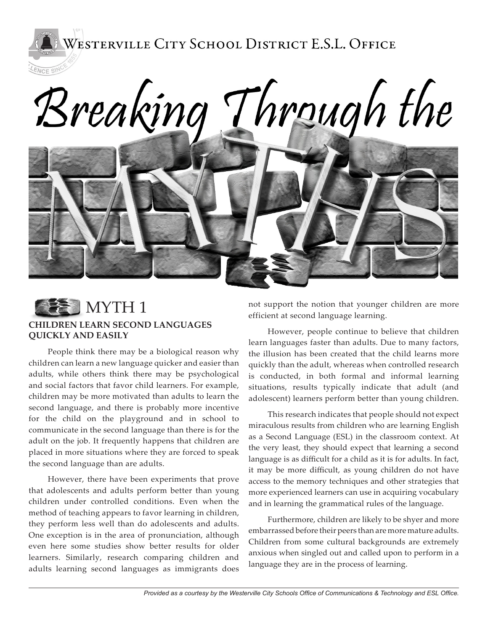WESTERVILLE CITY SCHOOL DISTRICT E.S.L. OFFICE

# Breaking Through the



LENCE SINCE

#### **CHILDREN LEARN SECOND LANGUAGES QUICKLY AND EASILY**

People think there may be a biological reason why children can learn a new language quicker and easier than adults, while others think there may be psychological and social factors that favor child learners. For example, children may be more motivated than adults to learn the second language, and there is probably more incentive for the child on the playground and in school to communicate in the second language than there is for the adult on the job. It frequently happens that children are placed in more situations where they are forced to speak the second language than are adults.

However, there have been experiments that prove that adolescents and adults perform better than young children under controlled conditions. Even when the method of teaching appears to favor learning in children, they perform less well than do adolescents and adults. One exception is in the area of pronunciation, although even here some studies show better results for older learners. Similarly, research comparing children and adults learning second languages as immigrants does not support the notion that younger children are more efficient at second language learning.

However, people continue to believe that children learn languages faster than adults. Due to many factors, the illusion has been created that the child learns more quickly than the adult, whereas when controlled research is conducted, in both formal and informal learning situations, results typically indicate that adult (and adolescent) learners perform better than young children.

This research indicates that people should not expect miraculous results from children who are learning English as a Second Language (ESL) in the classroom context. At the very least, they should expect that learning a second language is as difficult for a child as it is for adults. In fact, it may be more difficult, as young children do not have access to the memory techniques and other strategies that more experienced learners can use in acquiring vocabulary and in learning the grammatical rules of the language.

Furthermore, children are likely to be shyer and more embarrassed before their peers than are more mature adults. Children from some cultural backgrounds are extremely anxious when singled out and called upon to perform in a language they are in the process of learning.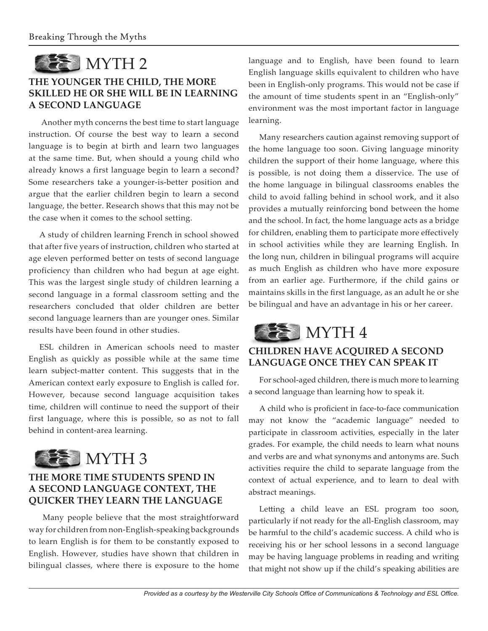

# **THE YOUNGER THE CHILD, THE MORE SKILLED HE OR SHE WILL BE IN LEARNING A SECOND LANGUAGE**

Another myth concerns the best time to start language instruction. Of course the best way to learn a second language is to begin at birth and learn two languages at the same time. But, when should a young child who already knows a first language begin to learn a second? Some researchers take a younger-is-better position and argue that the earlier children begin to learn a second language, the better. Research shows that this may not be the case when it comes to the school setting.

A study of children learning French in school showed that after five years of instruction, children who started at age eleven performed better on tests of second language proficiency than children who had begun at age eight. This was the largest single study of children learning a second language in a formal classroom setting and the researchers concluded that older children are better second language learners than are younger ones. Similar results have been found in other studies.

ESL children in American schools need to master English as quickly as possible while at the same time learn subject-matter content. This suggests that in the American context early exposure to English is called for. However, because second language acquisition takes time, children will continue to need the support of their first language, where this is possible, so as not to fall behind in content-area learning.



# **THE MORE TIME STUDENTS SPEND IN A SECOND LANGUAGE CONTEXT, THE QUICKER THEY LEARN THE LANGUAGE**

Many people believe that the most straightforward way for children from non-English-speaking backgrounds to learn English is for them to be constantly exposed to English. However, studies have shown that children in bilingual classes, where there is exposure to the home

language and to English, have been found to learn English language skills equivalent to children who have been in English-only programs. This would not be case if the amount of time students spent in an "English-only" environment was the most important factor in language learning.

Many researchers caution against removing support of the home language too soon. Giving language minority children the support of their home language, where this is possible, is not doing them a disservice. The use of the home language in bilingual classrooms enables the child to avoid falling behind in school work, and it also provides a mutually reinforcing bond between the home and the school. In fact, the home language acts as a bridge for children, enabling them to participate more effectively in school activities while they are learning English. In the long nun, children in bilingual programs will acquire as much English as children who have more exposure from an earlier age. Furthermore, if the child gains or maintains skills in the first language, as an adult he or she be bilingual and have an advantage in his or her career.



## **CHILDREN HAVE ACQUIRED A SECOND LANGUAGE ONCE THEY CAN SPEAK IT**

For school-aged children, there is much more to learning a second language than learning how to speak it.

A child who is proficient in face-to-face communication may not know the "academic language" needed to participate in classroom activities, especially in the later grades. For example, the child needs to learn what nouns and verbs are and what synonyms and antonyms are. Such activities require the child to separate language from the context of actual experience, and to learn to deal with abstract meanings.

Letting a child leave an ESL program too soon, particularly if not ready for the all-English classroom, may be harmful to the child's academic success. A child who is receiving his or her school lessons in a second language may be having language problems in reading and writing that might not show up if the child's speaking abilities are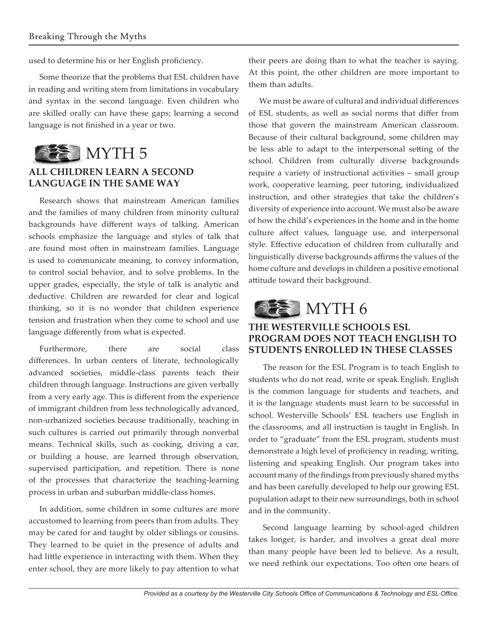used to determine his or her English proficiency.

Some theorize that the problems that ESL children have in reading and writing stem from limitations in vocabulary and syntax in the second language. Even children who are skilled orally can have these gaps; learning a second language is not finished in a year or two.



## **ALL CHILDREN LEARN A SECOND LANGUAGE IN THE SAME WAY**

Research shows that mainstream American families and the families of many children from minority cultural backgrounds have different ways of talking. American schools emphasize the language and styles of talk that are found most often in mainstream families. Language is used to communicate meaning, to convey information, to control social behavior, and to solve problems. In the upper grades, especially, the style of talk is analytic and deductive. Children are rewarded for clear and logical thinking, so it is no wonder that children experience tension and frustration when they come to school and use language differently from what is expected.

Furthermore, there are social class differences. In urban centers of literate, technologically advanced societies, middle-class parents teach their children through language. Instructions are given verbally from a very early age. This is different from the experience of immigrant children from less technologically advanced, non-urbanized societies because traditionally, teaching in such cultures is carried out primarily through nonverbal means. Technical skills, such as cooking, driving a car, or building a house, are learned through observation, supervised participation, and repetition. There is none of the processes that characterize the teaching-learning process in urban and suburban middle-class homes.

In addition, some children in some cultures are more accustomed to learning from peers than from adults. They may be cared for and taught by older siblings or cousins. They learned to be quiet in the presence of adults and had little experience in interacting with them. When they enter school, they are more likely to pay attention to what their peers are doing than to what the teacher is saying. At this point, the other children are more important to them than adults.

We must be aware of cultural and individual differences of ESL students, as well as social norms that differ from those that govern the mainstream American classroom. Because of their cultural background, some children may be less able to adapt to the interpersonal setting of the school. Children from culturally diverse backgrounds require a variety of instructional activities – small group work, cooperative learning, peer tutoring, individualized instruction, and other strategies that take the children's diversity of experience into account. We must also be aware of how the child's experiences in the home and in the home culture affect values, language use, and interpersonal style. Effective education of children from culturally and linguistically diverse backgrounds affirms the values of the home culture and develops in children a positive emotional attitude toward their background.



## **THE WESTERVILLE SCHOOLS ESL PROGRAM DOES NOT TEACH ENGLISH TO STUDENTS ENROLLED IN THESE CLASSES**

The reason for the ESL Program is to teach English to students who do not read, write or speak English. English is the common language for students and teachers, and it is the language students must learn to be successful in school. Westerville Schools' ESL teachers use English in the classrooms, and all instruction is taught in English. In order to "graduate" from the ESL program, students must demonstrate a high level of proficiency in reading, writing, listening and speaking English. Our program takes into account many of the findings from previously shared myths and has been carefully developed to help our growing ESL population adapt to their new surroundings, both in school and in the community.

Second language learning by school-aged children takes longer, is harder, and involves a great deal more than many people have been led to believe. As a result, we need rethink our expectations. Too often one hears of